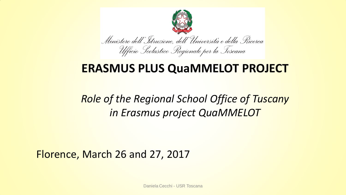

## **ERASMUS PLUS QuaMMELOT PROJECT**

## *Role of the Regional School Office of Tuscany in Erasmus project QuaMMELOT*

#### Florence, March 26 and 27, 2017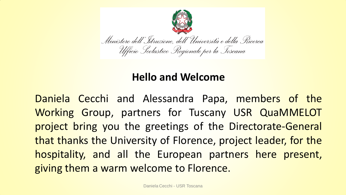

#### **Hello and Welcome**

Daniela Cecchi and Alessandra Papa, members of the Working Group, partners for Tuscany USR QuaMMELOT project bring you the greetings of the Directorate-General that thanks the University of Florence, project leader, for the hospitality, and all the European partners here present, giving them a warm welcome to Florence.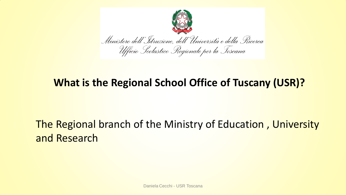

#### **What is the Regional School Office of Tuscany (USR)?**

## The Regional branch of the Ministry of Education , University and Research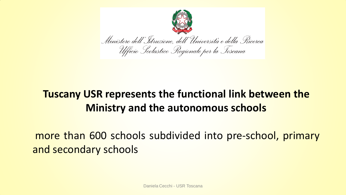

## **Tuscany USR represents the functional link between the Ministry and the autonomous schools**

more than 600 schools subdivided into pre-school, primary and secondary schools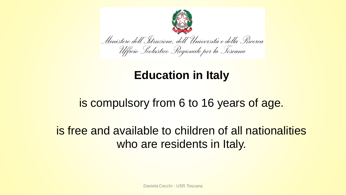

## **Education in Italy**

## is compulsory from 6 to 16 years of age.

## is free and available to children of all nationalities who are residents in Italy.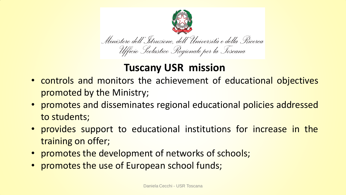

#### **Tuscany USR mission**

- controls and monitors the achievement of educational objectives promoted by the Ministry;
- promotes and disseminates regional educational policies addressed to students;
- provides support to educational institutions for increase in the training on offer;
- promotes the development of networks of schools;
- promotes the use of European school funds;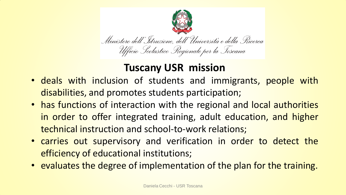

#### **Tuscany USR mission**

- deals with inclusion of students and immigrants, people with disabilities, and promotes students participation;
- has functions of interaction with the regional and local authorities in order to offer integrated training, adult education, and higher technical instruction and school-to-work relations;
- carries out supervisory and verification in order to detect the efficiency of educational institutions;
- evaluates the degree of implementation of the plan for the training.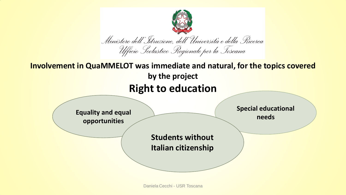

Daniela Cecchi - USR Toscana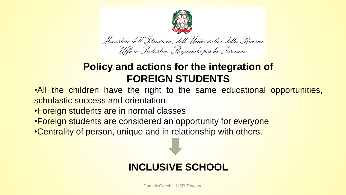

#### **Policy and actions for the integration of FOREIGN STUDENTS**

- •All the children have the right to the same educational opportunities, scholastic success and orientation
- •Foreign students are in normal classes
- •Foreign students are considered an opportunity for everyone
- •Centrality of person, unique and in relationship with others.

#### **INCLUSIVE SCHOOL**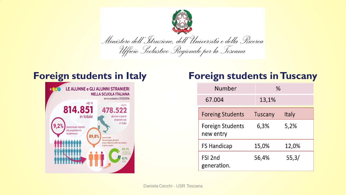



#### **Foreign students in Italy Foreign students in Tuscany**

| Number                               |         | %     |  |
|--------------------------------------|---------|-------|--|
| 67.004                               | 13,1%   |       |  |
| <b>Foreing Students</b>              | Tuscany | Italy |  |
| <b>Foreign Students</b><br>new entry | 6,3%    | 5,2%  |  |
| <b>FS Handicap</b>                   | 15,0%   | 12,0% |  |
| FSI 2nd<br>generation.               | 56,4%   | 55,3/ |  |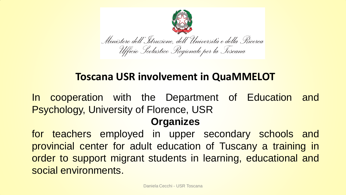

#### **Toscana USR involvement in QuaMMELOT**

In cooperation with the Department of Education and Psychology, University of Florence, USR

#### **Organizes**

for teachers employed in upper secondary schools and provincial center for adult education of Tuscany a training in order to support migrant students in learning, educational and social environments.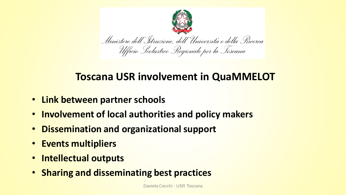

#### **Toscana USR involvement in QuaMMELOT**

- **Link between partner schools**
- **Involvement of local authorities and policy makers**
- **Dissemination and organizational support**
- **Events multipliers**
- **Intellectual outputs**
- **Sharing and disseminating best practices**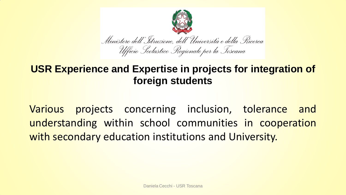

#### **USR Experience and Expertise in projects for integration of foreign students**

Various projects concerning inclusion, tolerance and understanding within school communities in cooperation with secondary education institutions and University.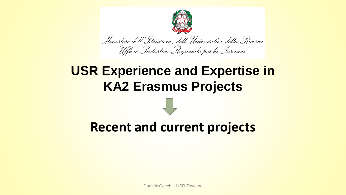

# **USR Experience and Expertise in KA2 Erasmus Projects**

# **Recent and current projects**

Daniela Cecchi - USR Toscana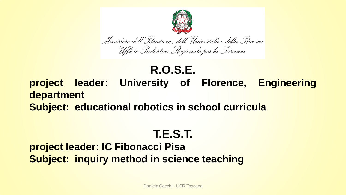

#### **R.O.S.E. project leader: University of Florence, Engineering department Subject: educational robotics in school curricula**

## **T.E.S.T.**

#### **project leader: IC Fibonacci Pisa Subject: inquiry method in science teaching**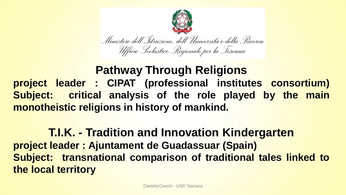

### **Pathway Through Religions project leader : CIPAT (professional institutes consortium) Subject: critical analysis of the role played by the main monotheistic religions in history of mankind.**

**T.I.K. - Tradition and Innovation Kindergarten project leader : Ajuntament de Guadassuar (Spain) Subject: transnational comparison of traditional tales linked to the local territory**